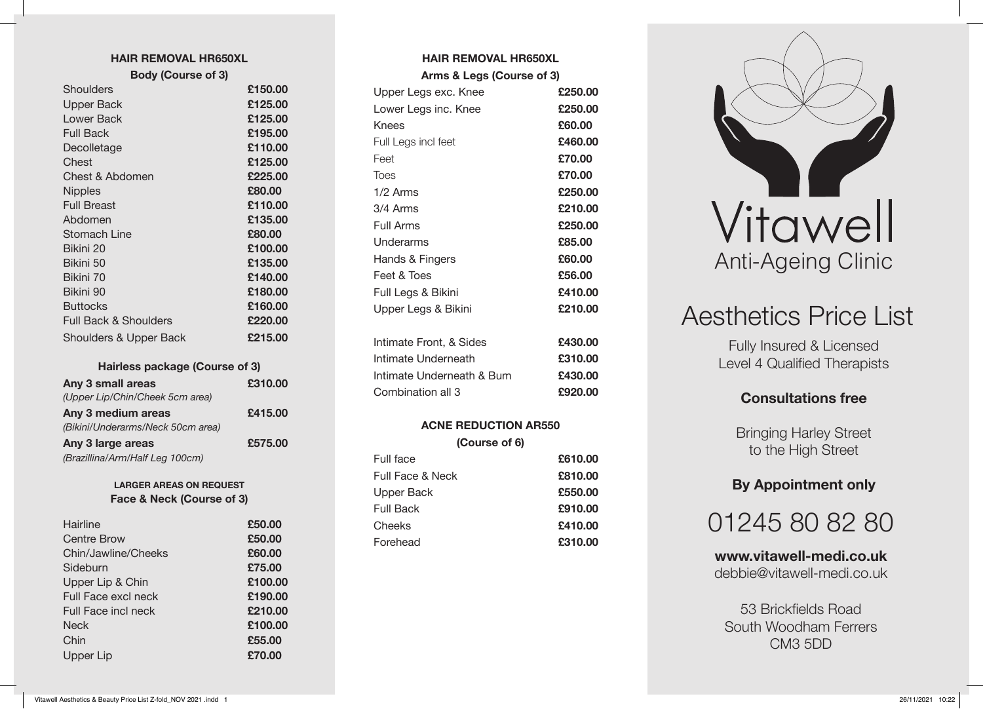#### **HAIR REMOVAL HR650XL**

| <b>Body (Course of 3)</b>        |         |
|----------------------------------|---------|
| Shoulders                        | £150.00 |
| <b>Upper Back</b>                | £125.00 |
| Lower Back                       | £125.00 |
| Full Back                        | £195.00 |
| Decolletage                      | £110.00 |
| Chest                            | £125.00 |
| Chest & Abdomen                  | £225.00 |
| <b>Nipples</b>                   | £80.00  |
| <b>Full Breast</b>               | £110.00 |
| Abdomen                          | £135.00 |
| Stomach Line                     | £80.00  |
| Bikini 20                        | £100.00 |
| Bikini 50                        | £135.00 |
| Bikini 70                        | £140.00 |
| Bikini 90                        | £180.00 |
| <b>Buttocks</b>                  | £160.00 |
| <b>Full Back &amp; Shoulders</b> | £220.00 |
| Shoulders & Upper Back           | £215.00 |

#### **Hairless package (Course of 3)**

| Any 3 small areas                 | £310.00 |
|-----------------------------------|---------|
| (Upper Lip/Chin/Cheek 5cm area)   |         |
| Any 3 medium areas                | £415.00 |
| (Bikini/Underarms/Neck 50cm area) |         |
| Any 3 large areas                 | £575.00 |
| (Brazillina/Arm/Half Leg 100cm)   |         |

#### **LARGER AREAS ON REQUEST Face & Neck (Course of 3)**

| Hairline            | £50.00  |
|---------------------|---------|
| <b>Centre Brow</b>  | £50.00  |
| Chin/Jawline/Cheeks | £60.00  |
| Sideburn            | £75.00  |
| Upper Lip & Chin    | £100.00 |
| Full Face excl neck | £190.00 |
| Full Face incl neck | £210.00 |
| <b>Neck</b>         | £100.00 |
| Chin                | £55.00  |
| Upper Lip           | £70.00  |

#### **HAIR REMOVAL HR650XL Arms & Legs (Course of 3)**

| Arms & Legs (Course of 3) |         |
|---------------------------|---------|
| Upper Legs exc. Knee      | £250.00 |
| Lower Legs inc. Knee      | £250.00 |
| Knees                     | £60.00  |
| Full Legs incl feet       | £460.00 |
| Feet                      | £70.00  |
| <b>Toes</b>               | £70.00  |
| $1/2$ Arms                | £250.00 |
| 3/4 Arms                  | £210.00 |
| Full Arms                 | £250.00 |
| Underarms                 | £85.00  |
| Hands & Fingers           | £60.00  |
| Feet & Toes               | £56.00  |
| Full Legs & Bikini        | £410.00 |
| Upper Legs & Bikini       | £210.00 |
|                           |         |
| Intimate Front, & Sides   | £430.00 |
| Intimate Underneath       | £310.00 |
| Intimate Underneath & Bum | £430.00 |
| Combination all 3         | £920.00 |
|                           |         |

# **ACNE REDUCTION AR550 (Course of 6)** Full face **£610.00** Full Face & Neck **£810.00** Upper Back **£550.00** Full Back **£910.00** Cheeks **£410.00** Forehead **£310.00**



# Aesthetics Price List

Fully Insured & Licensed Level 4 Qualified Therapists

# **Consultations free**

Bringing Harley Street to the High Street

# **By Appointment only**

01245 80 82 80

**www.vitawell-medi.co.uk** debbie@vitawell-medi.co.uk

53 Brickfields Road South Woodham Ferrers CM3 5DD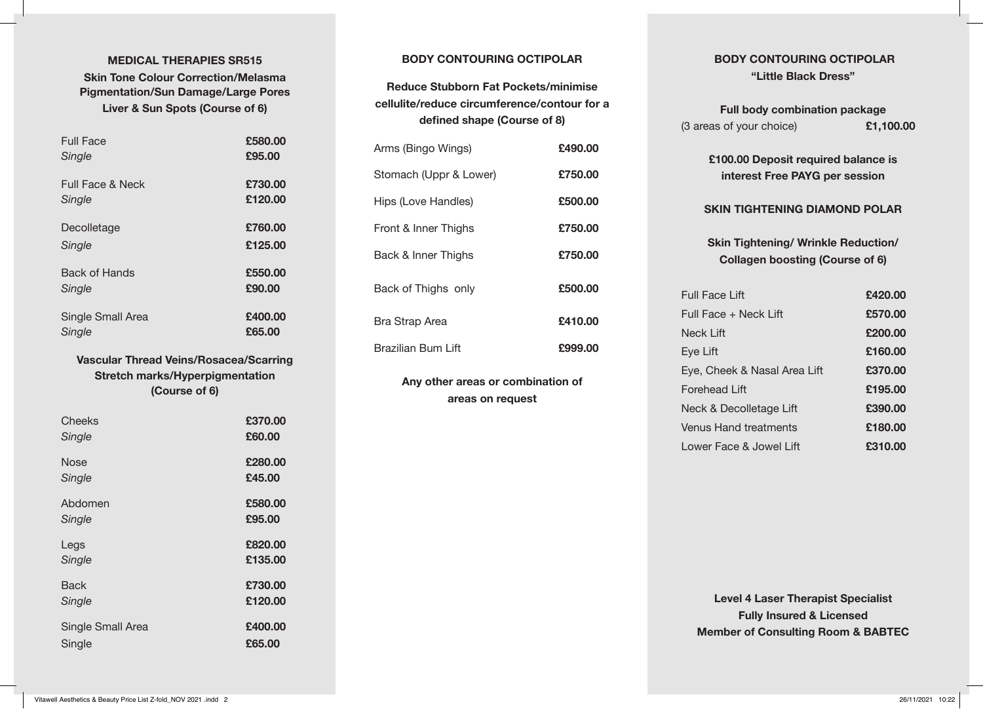## **MEDICAL THERAPIES SR515 Skin Tone Colour Correction/Melasma Pigmentation/Sun Damage/Large Pores Liver & Sun Spots (Course of 6)**

| <b>Full Face</b>  | £580.00 |
|-------------------|---------|
| Single            | £95.00  |
| Full Face & Neck  | £730.00 |
| Single            | £120.00 |
| Decolletage       | £760.00 |
| Single            | £125.00 |
| Back of Hands     | £550.00 |
| Single            | £90.00  |
| Single Small Area | £400.00 |
| Single            | £65.00  |

# **Vascular Thread Veins/Rosacea/Scarring Stretch marks/Hyperpigmentation (Course of 6)**

| Cheeks            | £370.00 |
|-------------------|---------|
| Single            | £60.00  |
| <b>Nose</b>       | £280.00 |
| Single            | £45.00  |
| Abdomen           | £580.00 |
| Single            | £95.00  |
| Legs              | £820.00 |
| Single            | £135.00 |
| <b>Back</b>       | £730.00 |
| Single            | £120.00 |
| Single Small Area | £400.00 |
| Single            | £65.00  |

## **BODY CONTOURING OCTIPOLAR**

# **Reduce Stubborn Fat Pockets/minimise cellulite/reduce circumference/contour for a defined shape (Course of 8)**

| Arms (Bingo Wings)     | £490.00 |
|------------------------|---------|
| Stomach (Uppr & Lower) | £750.00 |
| Hips (Love Handles)    | £500.00 |
| Front & Inner Thighs   | £750.00 |
| Back & Inner Thighs    | £750.00 |
| Back of Thighs only    | £500.00 |
| Bra Strap Area         | £410.00 |
| Brazilian Bum Lift     | £999.00 |

**Any other areas or combination of areas on request**

# **BODY CONTOURING OCTIPOLAR "Little Black Dress"**

| <b>Full body combination package</b> |           |
|--------------------------------------|-----------|
| (3 areas of your choice)             | £1,100.00 |

**£100.00 Deposit required balance is interest Free PAYG per session**

#### **SKIN TIGHTENING DIAMOND POLAR**

## **Skin Tightening/ Wrinkle Reduction/ Collagen boosting (Course of 6)**

| £420.00 |
|---------|
| £570.00 |
| £200.00 |
| £160.00 |
| £370.00 |
| £195.00 |
| £390.00 |
| £180.00 |
| £310.00 |
|         |

**Level 4 Laser Therapist Specialist Fully Insured & Licensed Member of Consulting Room & BABTEC**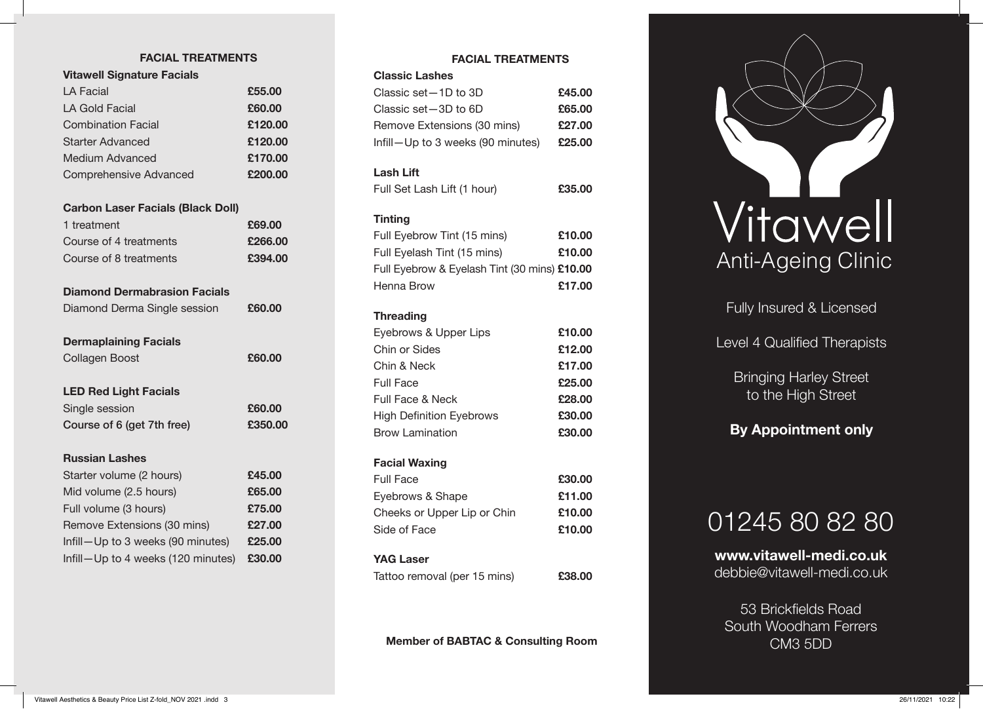## **FACIAL TREATMENTS**

| FAVIAL I NEAI IVIEN I J                  |         |
|------------------------------------------|---------|
| <b>Vitawell Signature Facials</b>        |         |
| LA Facial                                | £55.00  |
| <b>LA Gold Facial</b>                    | £60.00  |
| <b>Combination Facial</b>                | £120.00 |
| <b>Starter Advanced</b>                  | £120.00 |
| <b>Medium Advanced</b>                   | £170.00 |
| <b>Comprehensive Advanced</b>            | £200.00 |
| <b>Carbon Laser Facials (Black Doll)</b> |         |
| 1 treatment                              | £69.00  |
| Course of 4 treatments                   | £266.00 |
| Course of 8 treatments                   | £394.00 |
| <b>Diamond Dermabrasion Facials</b>      |         |
| Diamond Derma Single session             | £60.00  |
| <b>Dermaplaining Facials</b>             |         |
| <b>Collagen Boost</b>                    | £60.00  |
| <b>LED Red Light Facials</b>             |         |
| Single session                           | £60.00  |
| Course of 6 (get 7th free)               | £350.00 |
| <b>Russian Lashes</b>                    |         |
| Starter volume (2 hours)                 | £45.00  |
| Mid volume (2.5 hours)                   | £65.00  |
| Full volume (3 hours)                    | £75.00  |
| Remove Extensions (30 mins)              | £27.00  |

Infill—Up to 3 weeks (90 minutes) **£25.00** Infill—Up to 4 weeks (120 minutes) **£30.00**

## **FACIAL TREATMENTS**

| <b>Classic Lashes</b>             |        |
|-----------------------------------|--------|
| Classic set - 1D to 3D            | £45.00 |
| Classic set -3D to 6D             | £65.00 |
| Remove Extensions (30 mins)       | £27.00 |
| Infill-Up to 3 weeks (90 minutes) | £25.00 |

#### **Lash Lift**

| Full Set Lash Lift (1 hour) | £35.00 |
|-----------------------------|--------|
|                             |        |

#### **Tinting**

| Full Eyebrow Tint (15 mins)                  | £10.00 |
|----------------------------------------------|--------|
| Full Eyelash Tint (15 mins)                  | £10.00 |
| Full Eyebrow & Eyelash Tint (30 mins) £10.00 |        |
| Henna Brow                                   | £17.00 |
|                                              |        |
| <b>Threading</b>                             |        |
| Eyebrows & Upper Lips                        | £10.00 |
| Chin or Sides                                | £12.00 |
| Chin & Neck                                  | £17.00 |
| Full Face                                    | £25.00 |
| <b>Full Face &amp; Neck</b>                  | £28.00 |
| <b>High Definition Eyebrows</b>              | £30.00 |
| <b>Brow Lamination</b>                       | £30.00 |
| <b>Facial Waxing</b>                         |        |
| <b>Full Face</b>                             | £30.00 |
| Eyebrows & Shape                             | £11.00 |
| Cheeks or Upper Lip or Chin                  | £10.00 |
| Side of Face                                 | £10.00 |
| <b>YAG Laser</b>                             |        |
| Tattoo removal (per 15 mins)                 | £38.00 |
|                                              |        |

**Member of BABTAC & Consulting Room**



Fully Insured & Licensed

Level 4 Qualified Therapists

Bringing Harley Street to the High Street

# **By Appointment only**

# 01245 80 82 80

**www.vitawell-medi.co.uk** debbie@vitawell-medi.co.uk

53 Brickfields Road South Woodham Ferrers CM3 5DD